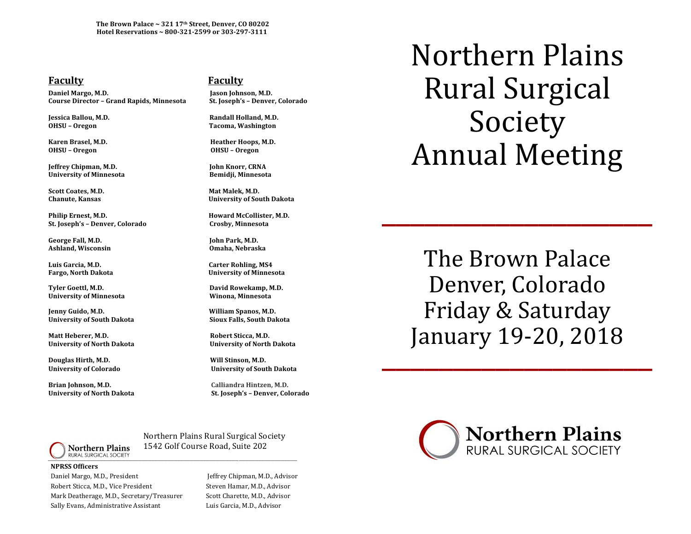The Brown Palace ~ 321 17<sup>th</sup> Street, Denver, CO 80202 **Hotel Reservations ~ 800-321-2599 or 303-297-3111**

## **Faculty COVIDENTS COVIDENTS COVIDENTS COVIDENTS COVIDENTS COVIDENTS**

Daniel Margo, M.D. *I* **and** *M.D.* **<b>I** ason Johnson, M.D. **Course Director – Grand Rapids, Minnesota St. Joseph's – Denver, Colorado** 

**OHSU – Oregon OHSU – Oregon** 

**Jeffrey Chipman, M.D. John Knorr, CRNA** University of Minnesota **Bemidji**, Minnesota

Scott Coates, M.D. *N.D. Mat Malek, M.D.* **<b>***Mat Malek, M.D.* 

**Philip Ernest, M.D. Howard McCollister, M.D. St. Joseph's – Denver, Colorado Crosby, Minnesota**

George Fall, M.D. *Conterpolary**Content**Content**Iohn Park, M.D.**Iohn Park, M.D.* Ashland, Wisconsin **and a shipper and a shipper and a shipper and a** Omaha, Nebraska

Luis Garcia, M.D. *Carter Rohling, MS4* 

**Tyler Goettl, M.D. David Rowekamp, M.D. University of Minnesota Winona, Minnesota**

**Jenny Guido, M.D. William Spanos, M.D.** University of South Dakota **800 Component Component Component Component Component Component Component Component** 

Matt Heberer, M.D. **In the actual Controller Controller** Robert Sticca, M.D. University of North Dakota **8.2.1 Controlled Executed Controlled Executed Controlled Executed Controlled Executed Controlled Executed Controlled Executed Controlled Executed Controlled Executed Controlled Executed Controll** 

**Douglas Hirth, M.D. Will Stinson, M.D.** 

**Brian Johnson, M.D. Calliandra Hintzen, M.D.**

**Jessica Ballou, M.D. Randall Holland, M.D. OHSU – Oregon Tacoma, Washington**

**Karen Brasel, M.D. Heather Hoops, M.D.**

**Chanute, Kansas University of South Dakota** 

**Fargo, North Dakota University of Minnesota**

University of Colorado **88 and 10 and 10 and 10 and 10 and 10 and 10 and 10 and 10 and 10 and 10 and 10 and 10 and 10 and 10 and 10 and 10 and 10 and 10 and 10 and 10 and 10 and 10 and 10 and 10 and 10 and 10 and 10 and 10** 

**University of North Dakota St. Joseph's – Denver, Colorado**

Northern Plains Rural Surgical Society Annual Meeting

The Brown Palace Denver, Colorado Friday & Saturday January 19-20, 2018

\_\_\_\_\_\_\_\_\_\_\_\_\_\_\_\_\_\_\_



**NPRSS Officers** Daniel Margo, M.D., President *Network Chipman, M.D., Advisor Chipman, M.D., Advisor* Robert Sticca, M.D., Vice President **Steven Hamar, M.D., Advisor** Mark Deatherage, M.D., Secretary/Treasurer Scott Charette, M.D., Advisor Sally Evans, Administrative Assistant **Example 20** Luis Garcia, M.D., Advisor

 Northern Plains Rural Surgical Society